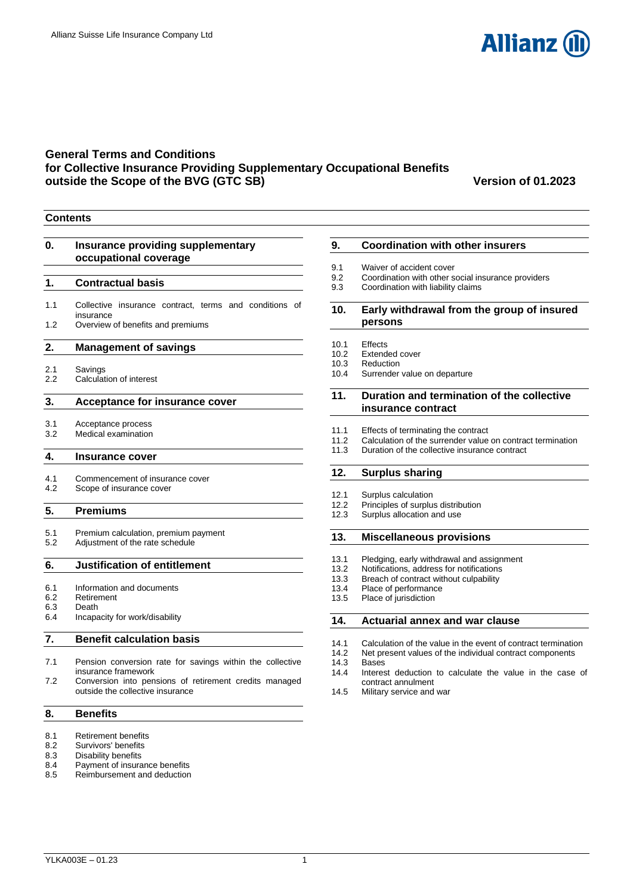

## **General Terms and Conditions for Collective Insurance Providing Supplementary Occupational Benefits outside the Scope of the BVG (GTC SB) Version of 01.2023**

**Contents**

## **0. [Insurance providing supplementary](#page-1-0)  [occupational coverage](#page-1-0) 1. [Contractual basis](#page-1-1)** 1.1 [Collective insurance contract, terms and conditions of](#page-1-2)  [insurance](#page-1-2) 1.2 [Overview of benefits and premiums](#page-1-3) **2. [Management of savings](#page-1-4)** 2.1 [Savings](#page-1-5)<br>2.2 Calculat [Calculation of interest](#page-1-6) **3. [Acceptance for insurance cover](#page-2-0)** 3.1 [Acceptance process](#page-2-1) 3.2 [Medical examination](#page-2-2) **4. [Insurance cover](#page-2-3)** 4.1 [Commencement of insurance cover](#page-2-4) 4.2 [Scope of insurance cover](#page-2-5) **5. [Premiums](#page-2-6)** 5.1 [Premium calculation, premium payment](#page-2-7)<br>5.2 Adiustment of the rate schedule [Adjustment of the rate schedule](#page-3-0) **6. [Justification of entitlement](#page-3-1)** 6.1 [Information and documents](#page-3-2) 6.2 [Retirement](#page-3-3) 6.3 [Death](#page-3-4) 6.4 [Incapacity for work/disability](#page-4-0) **7. [Benefit calculation basis](#page-4-1)** 7.1 [Pension conversion rate for savings within the collective](#page-4-2)  [insurance framework](#page-4-2) 7.2 [Conversion into pensions of retirement credits managed](#page-4-3)  [outside the collective insurance](#page-4-3) **8. [Benefits](#page-4-4)** 8.1 [Retirement benefits](#page-4-5)<br>8.2 Survivors' benefits 8.2 [Survivors' benefits](#page-4-6)<br>8.3 Disability benefits [Disability benefits](#page-6-0)

- 8.4 [Payment of insurance benefits](#page-8-0)
- 8.5 [Reimbursement and deduction](#page-8-1)

## **9. [Coordination with other insurers](#page-8-2)**

- 9.1 [Waiver of accident cover](#page-9-0)
- 9.2 [Coordination with other social insurance providers](#page-9-1)<br>9.3 Coordination with liability claims
- 9.3 [Coordination with liability claims](#page-9-2)

## **10. [Early withdrawal from the group of insured](#page-9-3)  [persons](#page-9-3)**

- 10.1 [Effects](#page-9-4)
- 10.2 [Extended cover](#page-9-5)<br>10.3 Reduction
- [Reduction](#page-9-6)
- 10.4 [Surrender value on departure](#page-9-7)

#### **11. [Duration and termination of the collective](#page-10-0)  [insurance contract](#page-10-0)**

- 
- 11.1 [Effects of terminating the contract](#page-10-1)<br>11.2 Calculation of the surrender value
- 11.2 [Calculation of the surrender value on contract termination](#page-10-2)<br>11.3 Duration of the collective insurance contract [Duration of the collective insurance contract](#page-10-3)

## **12. [Surplus sharing](#page-10-4)**

- 12.1 [Surplus calculation](#page-10-5)<br>12.2 Principles of surplus
- 12.2 [Principles of surplus distribution](#page-10-6)<br>12.3 Surplus allocation and use
- [Surplus allocation and use](#page-10-7)

#### **13. [Miscellaneous provisions](#page-11-0)**

- 13.1 [Pledging, early withdrawal and assignment](#page-11-1)
- 
- 13.2 [Notifications, address for notifications](#page-11-2)<br>13.3 Breach of contract without culpability 13.3 [Breach of contract without culpability](#page-11-3)<br>13.4 Place of performance
- [Place of performance](#page-11-4)
- 13.5 [Place of jurisdiction](#page-11-5)

#### **14. [Actuarial annex and war clause](#page-11-6)**

- 14.1 [Calculation of the value in the event of contract termination](#page-11-7)
- 14.2 Net present values of the individual contract components
- [Bases](#page-11-8)
- 14.4 [Interest deduction to calculate the value in the case of](#page-11-9)  [contract annulment](#page-11-9)
- 14.5 [Military service and war](#page-12-0)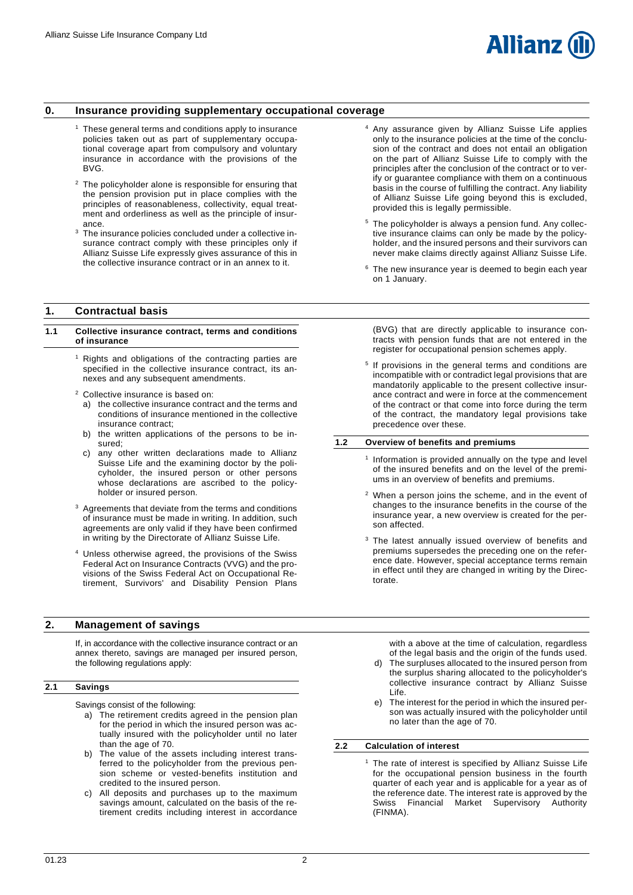

## <span id="page-1-0"></span>**0. Insurance providing supplementary occupational coverage**

- <sup>1</sup> These general terms and conditions apply to insurance policies taken out as part of supplementary occupational coverage apart from compulsory and voluntary insurance in accordance with the provisions of the BVG.
- <sup>2</sup> The policyholder alone is responsible for ensuring that the pension provision put in place complies with the principles of reasonableness, collectivity, equal treatment and orderliness as well as the principle of insurance.
- <sup>3</sup> The insurance policies concluded under a collective insurance contract comply with these principles only if Allianz Suisse Life expressly gives assurance of this in the collective insurance contract or in an annex to it.

## <span id="page-1-1"></span>**1. Contractual basis**

#### <span id="page-1-2"></span>**1.1 Collective insurance contract, terms and conditions of insurance**

- $1$  Rights and obligations of the contracting parties are specified in the collective insurance contract, its annexes and any subsequent amendments.
- Collective insurance is based on:
	- the collective insurance contract and the terms and conditions of insurance mentioned in the collective insurance contract;
- b) the written applications of the persons to be insured;
- c) any other written declarations made to Allianz Suisse Life and the examining doctor by the policyholder, the insured person or other persons whose declarations are ascribed to the policyholder or insured person.
- <sup>3</sup> Agreements that deviate from the terms and conditions of insurance must be made in writing. In addition, such agreements are only valid if they have been confirmed in writing by the Directorate of Allianz Suisse Life.
- <sup>4</sup> Unless otherwise agreed, the provisions of the Swiss Federal Act on Insurance Contracts (VVG) and the provisions of the Swiss Federal Act on Occupational Retirement, Survivors' and Disability Pension Plans

## <span id="page-1-4"></span>**2. Management of savings**

If, in accordance with the collective insurance contract or an annex thereto, savings are managed per insured person, the following regulations apply:

## <span id="page-1-5"></span>**2.1 Savings**

Savings consist of the following:

- a) The retirement credits agreed in the pension plan for the period in which the insured person was actually insured with the policyholder until no later than the age of 70.
- b) The value of the assets including interest transferred to the policyholder from the previous pension scheme or vested-benefits institution and credited to the insured person.
- c) All deposits and purchases up to the maximum savings amount, calculated on the basis of the retirement credits including interest in accordance
- Any assurance given by Allianz Suisse Life applies only to the insurance policies at the time of the conclusion of the contract and does not entail an obligation on the part of Allianz Suisse Life to comply with the principles after the conclusion of the contract or to verify or guarantee compliance with them on a continuous basis in the course of fulfilling the contract. Any liability of Allianz Suisse Life going beyond this is excluded, provided this is legally permissible.
- <sup>5</sup> The policyholder is always a pension fund. Any collective insurance claims can only be made by the policyholder, and the insured persons and their survivors can never make claims directly against Allianz Suisse Life.
- <sup>6</sup> The new insurance year is deemed to begin each year on 1 January.

(BVG) that are directly applicable to insurance contracts with pension funds that are not entered in the register for occupational pension schemes apply.

<sup>5</sup> If provisions in the general terms and conditions are incompatible with or contradict legal provisions that are mandatorily applicable to the present collective insurance contract and were in force at the commencement of the contract or that come into force during the term of the contract, the mandatory legal provisions take precedence over these.

#### <span id="page-1-3"></span>**1.2 Overview of benefits and premiums**

- 1 Information is provided annually on the type and level of the insured benefits and on the level of the premiums in an overview of benefits and premiums.
- <sup>2</sup> When a person joins the scheme, and in the event of changes to the insurance benefits in the course of the insurance year, a new overview is created for the person affected.
- <sup>3</sup> The latest annually issued overview of benefits and premiums supersedes the preceding one on the reference date. However, special acceptance terms remain in effect until they are changed in writing by the Directorate.

with a above at the time of calculation, regardless of the legal basis and the origin of the funds used.

- d) The surpluses allocated to the insured person from the surplus sharing allocated to the policyholder's collective insurance contract by Allianz Suisse Life.
- e) The interest for the period in which the insured person was actually insured with the policyholder until no later than the age of 70.

#### <span id="page-1-6"></span>**2.2 Calculation of interest**

The rate of interest is specified by Allianz Suisse Life for the occupational pension business in the fourth quarter of each year and is applicable for a year as of the reference date. The interest rate is approved by the Swiss Financial Market Supervisory Authority (FINMA).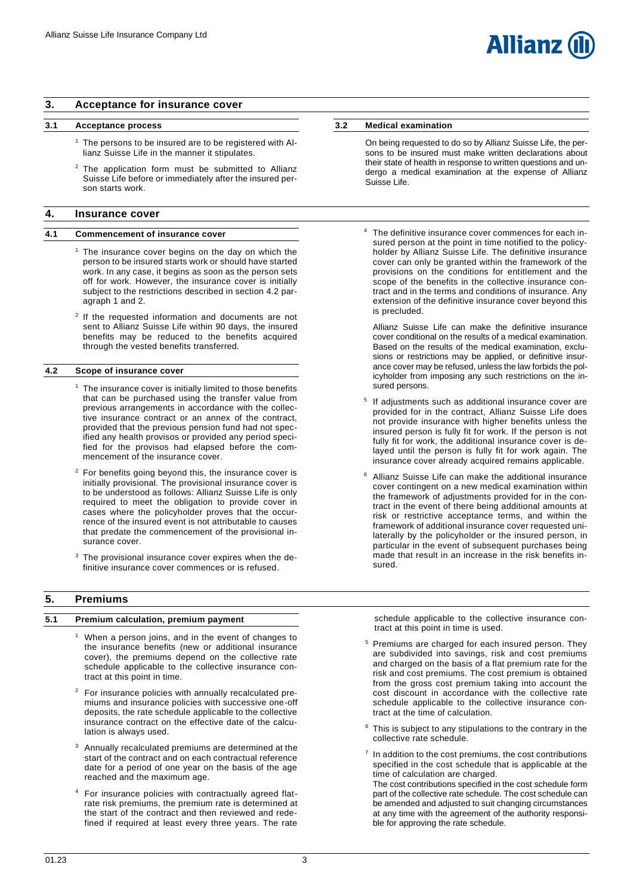## <span id="page-2-0"></span>**3. Acceptance for insurance cover**

## <span id="page-2-1"></span>**3.1 Acceptance process**

- <sup>1</sup> The persons to be insured are to be registered with Allianz Suisse Life in the manner it stipulates.
- <sup>2</sup> The application form must be submitted to Allianz Suisse Life before or immediately after the insured person starts work.

#### <span id="page-2-3"></span>**4. Insurance cover**

#### <span id="page-2-4"></span>**4.1 Commencement of insurance cover**

- $<sup>1</sup>$  The insurance cover begins on the day on which the</sup> person to be insured starts work or should have started work. In any case, it begins as soon as the person sets off for work. However, the insurance cover is initially subject to the restrictions described in section 4.2 paragraph 1 and 2.
- <sup>2</sup> If the requested information and documents are not sent to Allianz Suisse Life within 90 days, the insured benefits may be reduced to the benefits acquired through the vested benefits transferred.

## <span id="page-2-5"></span>**4.2 Scope of insurance cover**

- $1$  The insurance cover is initially limited to those benefits that can be purchased using the transfer value from previous arrangements in accordance with the collective insurance contract or an annex of the contract, provided that the previous pension fund had not specified any health provisos or provided any period specified for the provisos had elapsed before the commencement of the insurance cover.
- <sup>2</sup> For benefits going beyond this, the insurance cover is initially provisional. The provisional insurance cover is to be understood as follows: Allianz Suisse Life is only required to meet the obligation to provide cover in cases where the policyholder proves that the occurrence of the insured event is not attributable to causes that predate the commencement of the provisional insurance cover.
- <sup>3</sup> The provisional insurance cover expires when the definitive insurance cover commences or is refused.

## <span id="page-2-6"></span>**5. Premiums**

#### <span id="page-2-7"></span>**5.1 Premium calculation, premium payment**

- <sup>1</sup> When a person joins, and in the event of changes to the insurance benefits (new or additional insurance cover), the premiums depend on the collective rate schedule applicable to the collective insurance contract at this point in time.
- <sup>2</sup> For insurance policies with annually recalculated premiums and insurance policies with successive one-off deposits, the rate schedule applicable to the collective insurance contract on the effective date of the calculation is always used.
- <sup>3</sup> Annually recalculated premiums are determined at the start of the contract and on each contractual reference date for a period of one year on the basis of the age reached and the maximum age.
- <sup>4</sup> For insurance policies with contractually agreed flatrate risk premiums, the premium rate is determined at the start of the contract and then reviewed and redefined if required at least every three years. The rate

## <span id="page-2-2"></span>**3.2 Medical examination**

- On being requested to do so by Allianz Suisse Life, the persons to be insured must make written declarations about their state of health in response to written questions and undergo a medical examination at the expense of Allianz Suisse Life.
- The definitive insurance cover commences for each insured person at the point in time notified to the policyholder by Allianz Suisse Life. The definitive insurance cover can only be granted within the framework of the provisions on the conditions for entitlement and the scope of the benefits in the collective insurance contract and in the terms and conditions of insurance. Any extension of the definitive insurance cover beyond this is precluded.

Allianz Suisse Life can make the definitive insurance cover conditional on the results of a medical examination. Based on the results of the medical examination, exclusions or restrictions may be applied, or definitive insurance cover may be refused, unless the law forbids the policyholder from imposing any such restrictions on the insured persons.

- <sup>5</sup> If adjustments such as additional insurance cover are provided for in the contract, Allianz Suisse Life does not provide insurance with higher benefits unless the insured person is fully fit for work. If the person is not fully fit for work, the additional insurance cover is delayed until the person is fully fit for work again. The insurance cover already acquired remains applicable.
- Allianz Suisse Life can make the additional insurance cover contingent on a new medical examination within the framework of adjustments provided for in the contract in the event of there being additional amounts at risk or restrictive acceptance terms, and within the framework of additional insurance cover requested unilaterally by the policyholder or the insured person, in particular in the event of subsequent purchases being made that result in an increase in the risk benefits insured.

schedule applicable to the collective insurance contract at this point in time is used.

- Premiums are charged for each insured person. They are subdivided into savings, risk and cost premiums and charged on the basis of a flat premium rate for the risk and cost premiums. The cost premium is obtained from the gross cost premium taking into account the cost discount in accordance with the collective rate schedule applicable to the collective insurance contract at the time of calculation.
- This is subject to any stipulations to the contrary in the collective rate schedule.
- $<sup>7</sup>$  In addition to the cost premiums, the cost contributions</sup> specified in the cost schedule that is applicable at the time of calculation are charged.
- The cost contributions specified in the cost schedule form part of the collective rate schedule. The cost schedule can be amended and adjusted to suit changing circumstances at any time with the agreement of the authority responsible for approving the rate schedule.

Allianz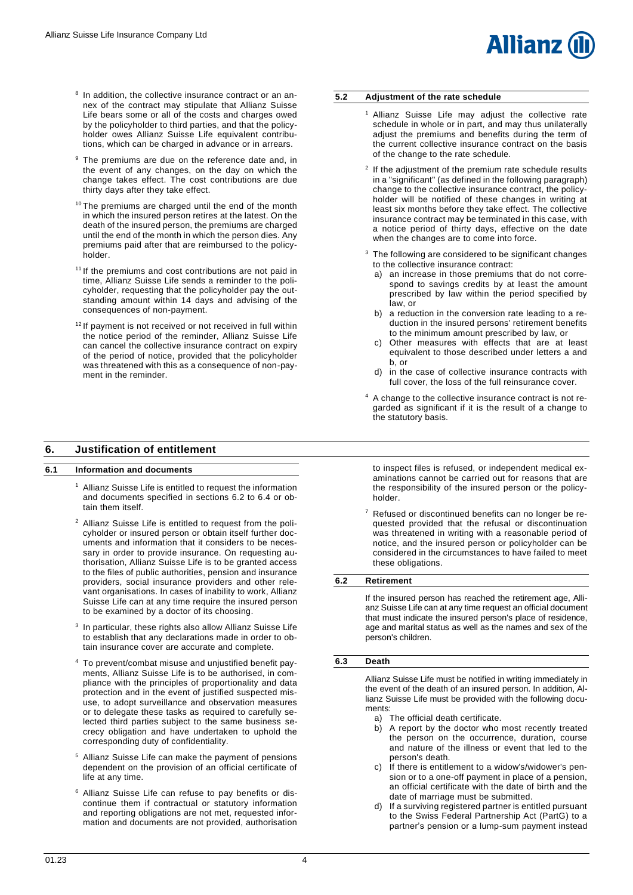# **Allianz**

- <sup>8</sup> In addition, the collective insurance contract or an annex of the contract may stipulate that Allianz Suisse Life bears some or all of the costs and charges owed by the policyholder to third parties, and that the policyholder owes Allianz Suisse Life equivalent contributions, which can be charged in advance or in arrears.
- <sup>9</sup> The premiums are due on the reference date and, in the event of any changes, on the day on which the change takes effect. The cost contributions are due thirty days after they take effect.
- <sup>10</sup> The premiums are charged until the end of the month in which the insured person retires at the latest. On the death of the insured person, the premiums are charged until the end of the month in which the person dies. Any premiums paid after that are reimbursed to the policyholder.
- <sup>11</sup> If the premiums and cost contributions are not paid in time, Allianz Suisse Life sends a reminder to the policyholder, requesting that the policyholder pay the outstanding amount within 14 days and advising of the consequences of non-payment.
- $12$  If payment is not received or not received in full within the notice period of the reminder, Allianz Suisse Life can cancel the collective insurance contract on expiry of the period of notice, provided that the policyholder was threatened with this as a consequence of non-payment in the reminder.

## <span id="page-3-1"></span>**6. Justification of entitlement**

## <span id="page-3-2"></span>**6.1 Information and documents**

- <sup>1</sup> Allianz Suisse Life is entitled to request the information and documents specified in sections 6.2 to 6.4 or obtain them itself.
- <sup>2</sup> Allianz Suisse Life is entitled to request from the policyholder or insured person or obtain itself further documents and information that it considers to be necessary in order to provide insurance. On requesting authorisation, Allianz Suisse Life is to be granted access to the files of public authorities, pension and insurance providers, social insurance providers and other relevant organisations. In cases of inability to work, Allianz Suisse Life can at any time require the insured person to be examined by a doctor of its choosing.
- <sup>3</sup> In particular, these rights also allow Allianz Suisse Life to establish that any declarations made in order to obtain insurance cover are accurate and complete.
- <sup>4</sup> To prevent/combat misuse and unjustified benefit payments, Allianz Suisse Life is to be authorised, in compliance with the principles of proportionality and data protection and in the event of justified suspected misuse, to adopt surveillance and observation measures or to delegate these tasks as required to carefully selected third parties subject to the same business secrecy obligation and have undertaken to uphold the corresponding duty of confidentiality.
- <sup>5</sup> Allianz Suisse Life can make the payment of pensions dependent on the provision of an official certificate of life at any time.
- <sup>6</sup> Allianz Suisse Life can refuse to pay benefits or discontinue them if contractual or statutory information and reporting obligations are not met, requested information and documents are not provided, authorisation

## <span id="page-3-0"></span>**5.2 Adjustment of the rate schedule**

- <sup>1</sup> Allianz Suisse Life may adjust the collective rate schedule in whole or in part, and may thus unilaterally adjust the premiums and benefits during the term of the current collective insurance contract on the basis of the change to the rate schedule.
- <sup>2</sup> If the adjustment of the premium rate schedule results in a "significant" (as defined in the following paragraph) change to the collective insurance contract, the policyholder will be notified of these changes in writing at least six months before they take effect. The collective insurance contract may be terminated in this case, with a notice period of thirty days, effective on the date when the changes are to come into force.
- <sup>3</sup> The following are considered to be significant changes to the collective insurance contract:
	- a) an increase in those premiums that do not correspond to savings credits by at least the amount prescribed by law within the period specified by law, or
	- b) a reduction in the conversion rate leading to a reduction in the insured persons' retirement benefits to the minimum amount prescribed by law, or
	- Other measures with effects that are at least equivalent to those described under letters a and b, or
	- d) in the case of collective insurance contracts with full cover, the loss of the full reinsurance cover.
- <sup>4</sup> A change to the collective insurance contract is not regarded as significant if it is the result of a change to the statutory basis.

to inspect files is refused, or independent medical examinations cannot be carried out for reasons that are the responsibility of the insured person or the policyholder.

Refused or discontinued benefits can no longer be requested provided that the refusal or discontinuation was threatened in writing with a reasonable period of notice, and the insured person or policyholder can be considered in the circumstances to have failed to meet these obligations.

## <span id="page-3-3"></span>**6.2 Retirement**

If the insured person has reached the retirement age, Allianz Suisse Life can at any time request an official document that must indicate the insured person's place of residence, age and marital status as well as the names and sex of the person's children.

#### <span id="page-3-4"></span>**6.3 Death**

Allianz Suisse Life must be notified in writing immediately in the event of the death of an insured person. In addition, Allianz Suisse Life must be provided with the following documents:

- a) The official death certificate.<br>b) A report by the doctor who
- b) A report by the doctor who most recently treated the person on the occurrence, duration, course and nature of the illness or event that led to the person's death.
- c) If there is entitlement to a widow's/widower's pension or to a one-off payment in place of a pension, an official certificate with the date of birth and the date of marriage must be submitted.
- d) If a surviving registered partner is entitled pursuant to the Swiss Federal Partnership Act (PartG) to a partner's pension or a lump-sum payment instead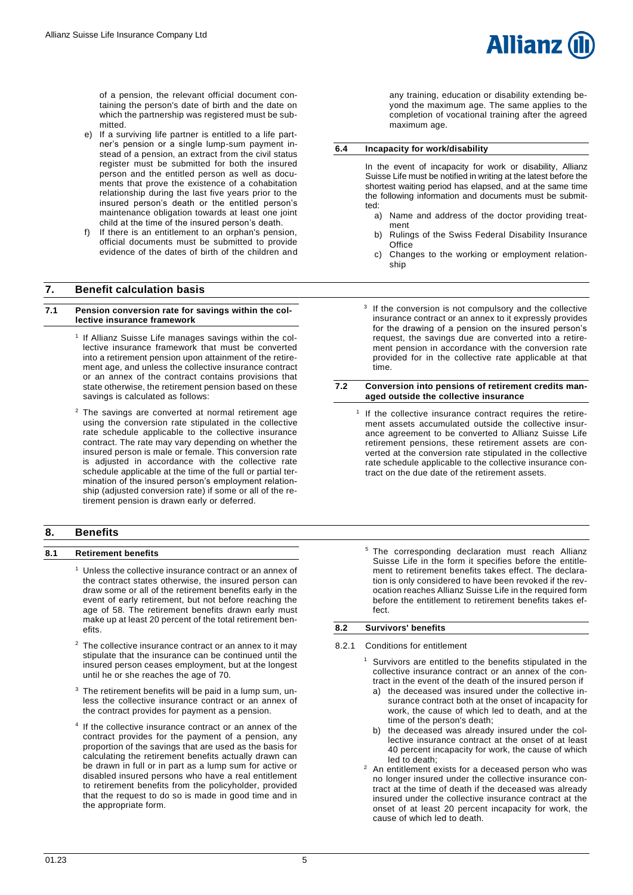

- e) If a surviving life partner is entitled to a life partner's pension or a single lump-sum payment instead of a pension, an extract from the civil status register must be submitted for both the insured person and the entitled person as well as documents that prove the existence of a cohabitation relationship during the last five years prior to the insured person's death or the entitled person's maintenance obligation towards at least one joint child at the time of the insured person's death.
- If there is an entitlement to an orphan's pension, official documents must be submitted to provide evidence of the dates of birth of the children and

## <span id="page-4-1"></span>**7. Benefit calculation basis**

#### <span id="page-4-2"></span>**7.1 Pension conversion rate for savings within the collective insurance framework**

- <sup>1</sup> If Allianz Suisse Life manages savings within the collective insurance framework that must be converted into a retirement pension upon attainment of the retirement age, and unless the collective insurance contract or an annex of the contract contains provisions that state otherwise, the retirement pension based on these savings is calculated as follows:
- <sup>2</sup> The savings are converted at normal retirement age using the conversion rate stipulated in the collective rate schedule applicable to the collective insurance contract. The rate may vary depending on whether the insured person is male or female. This conversion rate is adjusted in accordance with the collective rate schedule applicable at the time of the full or partial termination of the insured person's employment relationship (adjusted conversion rate) if some or all of the retirement pension is drawn early or deferred.

## <span id="page-4-4"></span>**8. Benefits**

## <span id="page-4-5"></span>**8.1 Retirement benefits**

- <sup>1</sup> Unless the collective insurance contract or an annex of the contract states otherwise, the insured person can draw some or all of the retirement benefits early in the event of early retirement, but not before reaching the age of 58. The retirement benefits drawn early must make up at least 20 percent of the total retirement benefits.
- The collective insurance contract or an annex to it may stipulate that the insurance can be continued until the insured person ceases employment, but at the longest until he or she reaches the age of 70.
- <sup>3</sup> The retirement benefits will be paid in a lump sum, unless the collective insurance contract or an annex of the contract provides for payment as a pension.
- 4 If the collective insurance contract or an annex of the contract provides for the payment of a pension, any proportion of the savings that are used as the basis for calculating the retirement benefits actually drawn can be drawn in full or in part as a lump sum for active or disabled insured persons who have a real entitlement to retirement benefits from the policyholder, provided that the request to do so is made in good time and in the appropriate form.

any training, education or disability extending beyond the maximum age. The same applies to the completion of vocational training after the agreed maximum age.

**Allianz** 

#### <span id="page-4-0"></span>**6.4 Incapacity for work/disability**

In the event of incapacity for work or disability, Allianz Suisse Life must be notified in writing at the latest before the shortest waiting period has elapsed, and at the same time the following information and documents must be submitted:

- a) Name and address of the doctor providing treatment
- b) Rulings of the Swiss Federal Disability Insurance **Office**
- c) Changes to the working or employment relationship
- <sup>3</sup> If the conversion is not compulsory and the collective insurance contract or an annex to it expressly provides for the drawing of a pension on the insured person's request, the savings due are converted into a retirement pension in accordance with the conversion rate provided for in the collective rate applicable at that time.

#### <span id="page-4-3"></span>**7.2 Conversion into pensions of retirement credits managed outside the collective insurance**

- 1 If the collective insurance contract requires the retirement assets accumulated outside the collective insurance agreement to be converted to Allianz Suisse Life retirement pensions, these retirement assets are converted at the conversion rate stipulated in the collective rate schedule applicable to the collective insurance contract on the due date of the retirement assets.
	- <sup>5</sup> The corresponding declaration must reach Allianz Suisse Life in the form it specifies before the entitlement to retirement benefits takes effect. The declaration is only considered to have been revoked if the revocation reaches Allianz Suisse Life in the required form before the entitlement to retirement benefits takes effect.

## <span id="page-4-6"></span>**8.2 Survivors' benefits**

#### 8.2.1 Conditions for entitlement

- <sup>1</sup> Survivors are entitled to the benefits stipulated in the collective insurance contract or an annex of the contract in the event of the death of the insured person if
	- a) the deceased was insured under the collective insurance contract both at the onset of incapacity for work, the cause of which led to death, and at the time of the person's death;
	- b) the deceased was already insured under the collective insurance contract at the onset of at least 40 percent incapacity for work, the cause of which led to death;
- <sup>2</sup> An entitlement exists for a deceased person who was no longer insured under the collective insurance contract at the time of death if the deceased was already insured under the collective insurance contract at the onset of at least 20 percent incapacity for work, the cause of which led to death.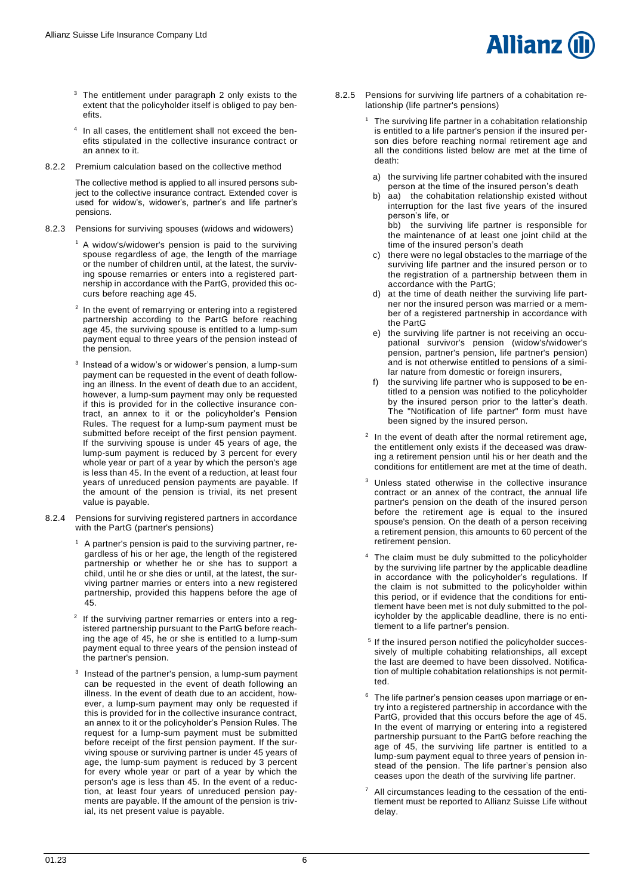- <sup>3</sup> The entitlement under paragraph 2 only exists to the extent that the policyholder itself is obliged to pay benefits.
- 4 In all cases, the entitlement shall not exceed the benefits stipulated in the collective insurance contract or an annex to it.
- 8.2.2 Premium calculation based on the collective method

The collective method is applied to all insured persons subject to the collective insurance contract. Extended cover is used for widow's, widower's, partner's and life partner's pensions.

- 8.2.3 Pensions for surviving spouses (widows and widowers)
	- <sup>1</sup> A widow's/widower's pension is paid to the surviving spouse regardless of age, the length of the marriage or the number of children until, at the latest, the surviving spouse remarries or enters into a registered partnership in accordance with the PartG, provided this occurs before reaching age 45.
	- <sup>2</sup> In the event of remarrying or entering into a registered partnership according to the PartG before reaching age 45, the surviving spouse is entitled to a lump-sum payment equal to three years of the pension instead of the pension.
	- $3$  Instead of a widow's or widower's pension, a lump-sum payment can be requested in the event of death following an illness. In the event of death due to an accident, however, a lump-sum payment may only be requested if this is provided for in the collective insurance contract, an annex to it or the policyholder's Pension Rules. The request for a lump-sum payment must be submitted before receipt of the first pension payment. If the surviving spouse is under 45 years of age, the lump-sum payment is reduced by 3 percent for every whole year or part of a year by which the person's age is less than 45. In the event of a reduction, at least four years of unreduced pension payments are payable. If the amount of the pension is trivial, its net present value is payable.
- 8.2.4 Pensions for surviving registered partners in accordance with the PartG (partner's pensions)
	- $1$  A partner's pension is paid to the surviving partner, regardless of his or her age, the length of the registered partnership or whether he or she has to support a child, until he or she dies or until, at the latest, the surviving partner marries or enters into a new registered partnership, provided this happens before the age of 45.
	- <sup>2</sup> If the surviving partner remarries or enters into a registered partnership pursuant to the PartG before reaching the age of 45, he or she is entitled to a lump-sum payment equal to three years of the pension instead of the partner's pension.
	- <sup>3</sup> Instead of the partner's pension, a lump-sum payment can be requested in the event of death following an illness. In the event of death due to an accident, however, a lump-sum payment may only be requested if this is provided for in the collective insurance contract, an annex to it or the policyholder's Pension Rules. The request for a lump-sum payment must be submitted before receipt of the first pension payment. If the surviving spouse or surviving partner is under 45 years of age, the lump-sum payment is reduced by 3 percent for every whole year or part of a year by which the person's age is less than 45. In the event of a reduction, at least four years of unreduced pension payments are payable. If the amount of the pension is trivial, its net present value is payable.
- 8.2.5 Pensions for surviving life partners of a cohabitation relationship (life partner's pensions)
	- The surviving life partner in a cohabitation relationship is entitled to a life partner's pension if the insured person dies before reaching normal retirement age and all the conditions listed below are met at the time of death:

**Allianz** 

- a) the surviving life partner cohabited with the insured person at the time of the insured person's death
- b) aa) the cohabitation relationship existed without interruption for the last five years of the insured person's life, or

bb) the surviving life partner is responsible for the maintenance of at least one joint child at the time of the insured person's death

- c) there were no legal obstacles to the marriage of the surviving life partner and the insured person or to the registration of a partnership between them in accordance with the PartG;
- d) at the time of death neither the surviving life partner nor the insured person was married or a member of a registered partnership in accordance with the PartG
- e) the surviving life partner is not receiving an occupational survivor's pension (widow's/widower's pension, partner's pension, life partner's pension) and is not otherwise entitled to pensions of a similar nature from domestic or foreign insurers,
- f) the surviving life partner who is supposed to be entitled to a pension was notified to the policyholder by the insured person prior to the latter's death. The "Notification of life partner" form must have been signed by the insured person.
- $2$  In the event of death after the normal retirement age, the entitlement only exists if the deceased was drawing a retirement pension until his or her death and the conditions for entitlement are met at the time of death.
- Unless stated otherwise in the collective insurance contract or an annex of the contract, the annual life partner's pension on the death of the insured person before the retirement age is equal to the insured spouse's pension. On the death of a person receiving a retirement pension, this amounts to 60 percent of the retirement pension.
- <sup>4</sup> The claim must be duly submitted to the policyholder by the surviving life partner by the applicable deadline in accordance with the policyholder's regulations. If the claim is not submitted to the policyholder within this period, or if evidence that the conditions for entitlement have been met is not duly submitted to the policyholder by the applicable deadline, there is no entitlement to a life partner's pension.
- <sup>5</sup> If the insured person notified the policyholder successively of multiple cohabiting relationships, all except the last are deemed to have been dissolved. Notification of multiple cohabitation relationships is not permitted.
- <sup>6</sup> The life partner's pension ceases upon marriage or entry into a registered partnership in accordance with the PartG, provided that this occurs before the age of 45. In the event of marrying or entering into a registered partnership pursuant to the PartG before reaching the age of 45, the surviving life partner is entitled to a lump-sum payment equal to three years of pension instead of the pension. The life partner's pension also ceases upon the death of the surviving life partner.
- All circumstances leading to the cessation of the entitlement must be reported to Allianz Suisse Life without delay.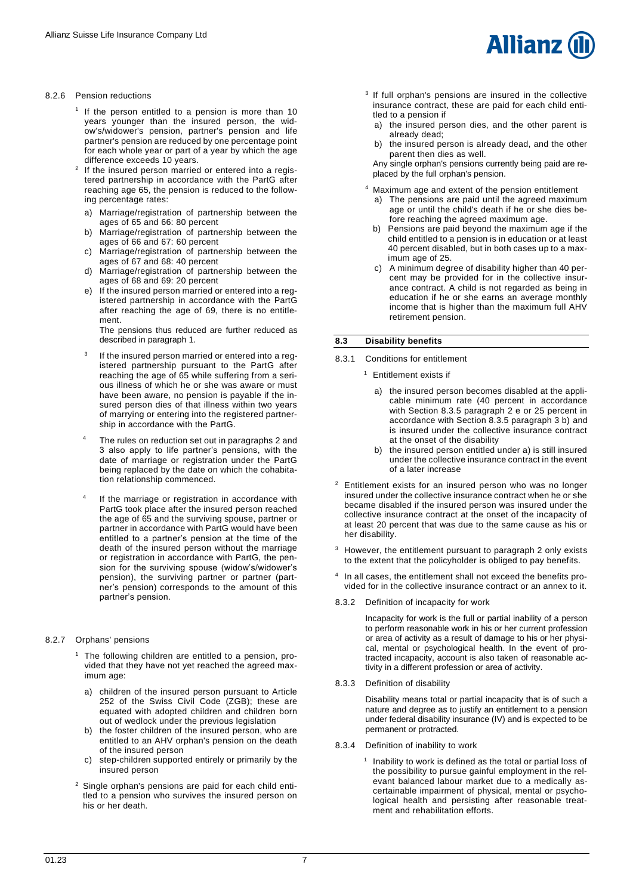#### 8.2.6 Pension reductions

- <sup>1</sup> If the person entitled to a pension is more than 10 years younger than the insured person, the widow's/widower's pension, partner's pension and life partner's pension are reduced by one percentage point for each whole year or part of a year by which the age difference exceeds 10 years.
- $\overline{2}$ If the insured person married or entered into a registered partnership in accordance with the PartG after reaching age 65, the pension is reduced to the following percentage rates:
	- a) Marriage/registration of partnership between the ages of 65 and 66: 80 percent
	- b) Marriage/registration of partnership between the ages of 66 and 67: 60 percent
	- c) Marriage/registration of partnership between the ages of 67 and 68: 40 percent
	- d) Marriage/registration of partnership between the ages of 68 and 69: 20 percent
	- e) If the insured person married or entered into a registered partnership in accordance with the PartG after reaching the age of 69, there is no entitlement.

The pensions thus reduced are further reduced as described in paragraph 1.

- 3 If the insured person married or entered into a registered partnership pursuant to the PartG after reaching the age of 65 while suffering from a serious illness of which he or she was aware or must have been aware, no pension is payable if the insured person dies of that illness within two years of marrying or entering into the registered partnership in accordance with the PartG.
- The rules on reduction set out in paragraphs 2 and 3 also apply to life partner's pensions, with the date of marriage or registration under the PartG being replaced by the date on which the cohabitation relationship commenced.
- 4 If the marriage or registration in accordance with PartG took place after the insured person reached the age of 65 and the surviving spouse, partner or partner in accordance with PartG would have been entitled to a partner's pension at the time of the death of the insured person without the marriage or registration in accordance with PartG, the pension for the surviving spouse (widow's/widower's pension), the surviving partner or partner (partner's pension) corresponds to the amount of this partner's pension.

#### 8.2.7 Orphans' pensions

- $1$  The following children are entitled to a pension, provided that they have not yet reached the agreed maximum age:
	- a) children of the insured person pursuant to Article 252 of the Swiss Civil Code (ZGB); these are equated with adopted children and children born out of wedlock under the previous legislation
	- b) the foster children of the insured person, who are entitled to an AHV orphan's pension on the death of the insured person
	- c) step-children supported entirely or primarily by the insured person
- <sup>2</sup> Single orphan's pensions are paid for each child entitled to a pension who survives the insured person on his or her death.



- <sup>3</sup> If full orphan's pensions are insured in the collective insurance contract, these are paid for each child entitled to a pension if
	- a) the insured person dies, and the other parent is already dead;
	- b) the insured person is already dead, and the other parent then dies as well.

Any single orphan's pensions currently being paid are replaced by the full orphan's pension.

- <sup>4</sup> Maximum age and extent of the pension entitlement
	- a) The pensions are paid until the agreed maximum age or until the child's death if he or she dies before reaching the agreed maximum age.
	- b) Pensions are paid beyond the maximum age if the child entitled to a pension is in education or at least 40 percent disabled, but in both cases up to a maximum age of 25.
	- c) A minimum degree of disability higher than 40 percent may be provided for in the collective insurance contract. A child is not regarded as being in education if he or she earns an average monthly income that is higher than the maximum full AHV retirement pension.

#### <span id="page-6-0"></span>**8.3 Disability benefits**

8.3.1 Conditions for entitlement

- <sup>1</sup> Entitlement exists if
	- a) the insured person becomes disabled at the applicable minimum rate (40 percent in accordance with Section 8.3.5 paragraph 2 e or 25 percent in accordance with Section 8.3.5 paragraph 3 b) and is insured under the collective insurance contract at the onset of the disability
	- b) the insured person entitled under a) is still insured under the collective insurance contract in the event of a later increase
- <sup>2</sup> Entitlement exists for an insured person who was no longer insured under the collective insurance contract when he or she became disabled if the insured person was insured under the collective insurance contract at the onset of the incapacity of at least 20 percent that was due to the same cause as his or her disability.
- <sup>3</sup> However, the entitlement pursuant to paragraph 2 only exists to the extent that the policyholder is obliged to pay benefits.
- 4 In all cases, the entitlement shall not exceed the benefits provided for in the collective insurance contract or an annex to it.
- 8.3.2 Definition of incapacity for work

Incapacity for work is the full or partial inability of a person to perform reasonable work in his or her current profession or area of activity as a result of damage to his or her physical, mental or psychological health. In the event of protracted incapacity, account is also taken of reasonable activity in a different profession or area of activity.

8.3.3 Definition of disability

Disability means total or partial incapacity that is of such a nature and degree as to justify an entitlement to a pension under federal disability insurance (IV) and is expected to be permanent or protracted.

- 8.3.4 Definition of inability to work
	- <sup>1</sup> Inability to work is defined as the total or partial loss of the possibility to pursue gainful employment in the relevant balanced labour market due to a medically ascertainable impairment of physical, mental or psychological health and persisting after reasonable treatment and rehabilitation efforts.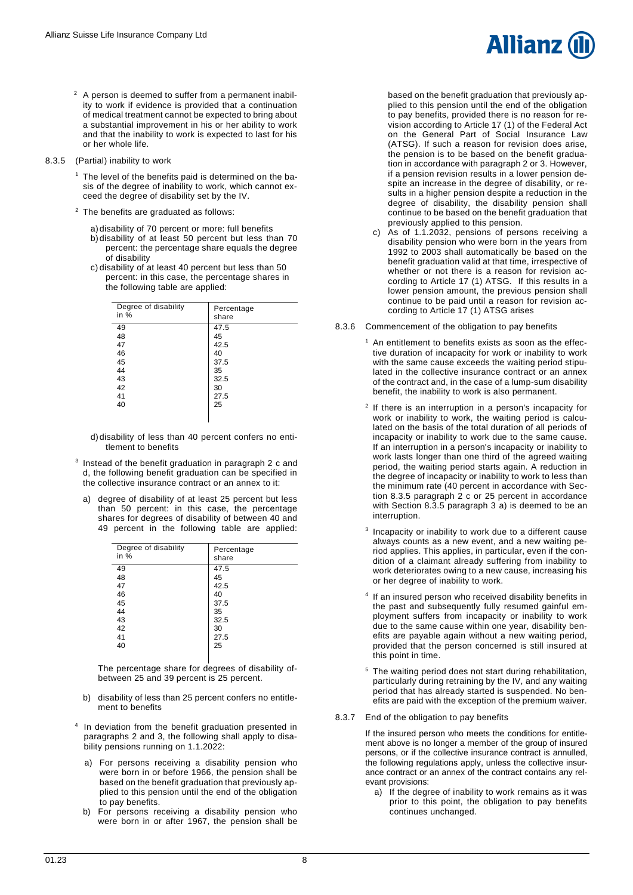- $2$  A person is deemed to suffer from a permanent inability to work if evidence is provided that a continuation of medical treatment cannot be expected to bring about a substantial improvement in his or her ability to work and that the inability to work is expected to last for his or her whole life.
- 8.3.5 (Partial) inability to work
	- $<sup>1</sup>$  The level of the benefits paid is determined on the ba-</sup> sis of the degree of inability to work, which cannot exceed the degree of disability set by the IV.
	- <sup>2</sup> The benefits are graduated as follows:
		- a) disability of 70 percent or more: full benefits
		- b)disability of at least 50 percent but less than 70 percent: the percentage share equals the degree of disability
		- c) disability of at least 40 percent but less than 50 percent: in this case, the percentage shares in the following table are applied:

| Degree of disability<br>in $%$ | Percentage<br>share |
|--------------------------------|---------------------|
| 49                             | 47.5                |
| 48                             | 45                  |
| 47                             | 42.5                |
| 46                             | 40                  |
| 45                             | 37.5                |
| 44                             | 35                  |
| 43                             | 32.5                |
| 42                             | 30                  |
| 41                             | 27.5                |
| 40                             | 25                  |
|                                |                     |
|                                |                     |

- d) disability of less than 40 percent confers no entitlement to benefits
- <sup>3</sup> Instead of the benefit graduation in paragraph 2 c and d, the following benefit graduation can be specified in the collective insurance contract or an annex to it:
- a) degree of disability of at least 25 percent but less than 50 percent: in this case, the percentage shares for degrees of disability of between 40 and 49 percent in the following table are applied:

| Degree of disability<br>in % | Percentage<br>share |
|------------------------------|---------------------|
| 49                           | 47.5                |
| 48                           | 45                  |
| 47                           | 42.5                |
| 46                           | 40                  |
| 45                           | 37.5                |
| 44                           | 35                  |
| 43                           | 32.5                |
| 42                           | 30                  |
| 41                           | 27.5                |
| 40                           | 25                  |
|                              |                     |

The percentage share for degrees of disability ofbetween 25 and 39 percent is 25 percent.

- b) disability of less than 25 percent confers no entitlement to benefits
- <sup>4</sup> In deviation from the benefit graduation presented in paragraphs 2 and 3, the following shall apply to disability pensions running on 1.1.2022:
	- a) For persons receiving a disability pension who were born in or before 1966, the pension shall be based on the benefit graduation that previously applied to this pension until the end of the obligation to pay benefits.
	- b) For persons receiving a disability pension who were born in or after 1967, the pension shall be



based on the benefit graduation that previously applied to this pension until the end of the obligation to pay benefits, provided there is no reason for revision according to Article 17 (1) of the Federal Act on the General Part of Social Insurance Law (ATSG). If such a reason for revision does arise, the pension is to be based on the benefit graduation in accordance with paragraph 2 or 3. However, if a pension revision results in a lower pension despite an increase in the degree of disability, or results in a higher pension despite a reduction in the degree of disability, the disability pension shall continue to be based on the benefit graduation that previously applied to this pension.

c) As of 1.1.2032, pensions of persons receiving a disability pension who were born in the years from 1992 to 2003 shall automatically be based on the benefit graduation valid at that time, irrespective of whether or not there is a reason for revision according to Article 17 (1) ATSG. If this results in a lower pension amount, the previous pension shall continue to be paid until a reason for revision according to Article 17 (1) ATSG arises

#### 8.3.6 Commencement of the obligation to pay benefits

- $1$  An entitlement to benefits exists as soon as the effective duration of incapacity for work or inability to work with the same cause exceeds the waiting period stipulated in the collective insurance contract or an annex of the contract and, in the case of a lump-sum disability benefit, the inability to work is also permanent.
- <sup>2</sup> If there is an interruption in a person's incapacity for work or inability to work, the waiting period is calculated on the basis of the total duration of all periods of incapacity or inability to work due to the same cause. If an interruption in a person's incapacity or inability to work lasts longer than one third of the agreed waiting period, the waiting period starts again. A reduction in the degree of incapacity or inability to work to less than the minimum rate (40 percent in accordance with Section 8.3.5 paragraph 2 c or 25 percent in accordance with Section 8.3.5 paragraph 3 a) is deemed to be an interruption.
- 3 Incapacity or inability to work due to a different cause always counts as a new event, and a new waiting period applies. This applies, in particular, even if the condition of a claimant already suffering from inability to work deteriorates owing to a new cause, increasing his or her degree of inability to work.
- 4 If an insured person who received disability benefits in the past and subsequently fully resumed gainful employment suffers from incapacity or inability to work due to the same cause within one year, disability benefits are payable again without a new waiting period, provided that the person concerned is still insured at this point in time.
- <sup>5</sup> The waiting period does not start during rehabilitation, particularly during retraining by the IV, and any waiting period that has already started is suspended. No benefits are paid with the exception of the premium waiver.
- 8.3.7 End of the obligation to pay benefits

If the insured person who meets the conditions for entitlement above is no longer a member of the group of insured persons, or if the collective insurance contract is annulled, the following regulations apply, unless the collective insurance contract or an annex of the contract contains any relevant provisions:

a) If the degree of inability to work remains as it was prior to this point, the obligation to pay benefits continues unchanged.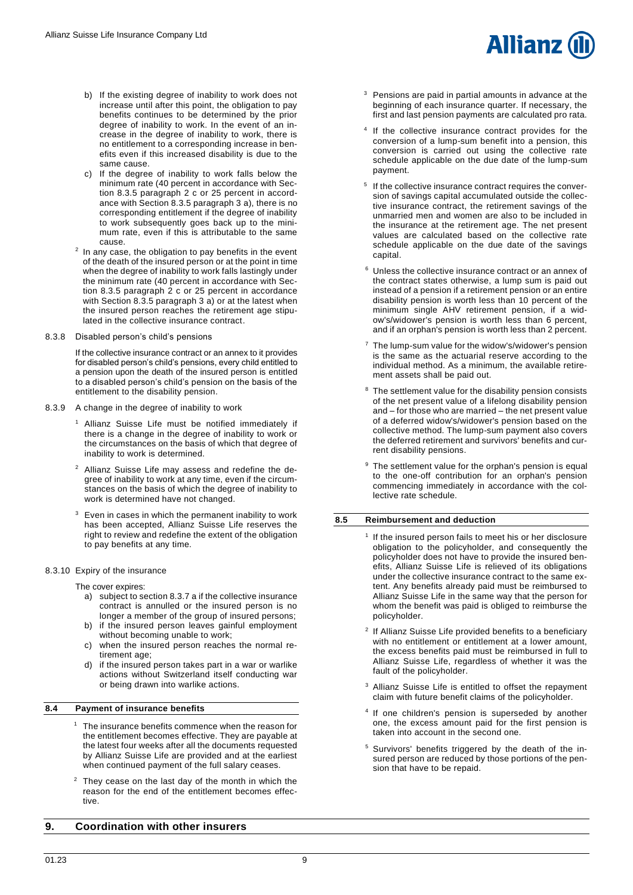- b) If the existing degree of inability to work does not increase until after this point, the obligation to pay benefits continues to be determined by the prior degree of inability to work. In the event of an increase in the degree of inability to work, there is no entitlement to a corresponding increase in benefits even if this increased disability is due to the same cause.
- c) If the degree of inability to work falls below the minimum rate (40 percent in accordance with Section 8.3.5 paragraph 2 c or 25 percent in accordance with Section 8.3.5 paragraph 3 a), there is no corresponding entitlement if the degree of inability to work subsequently goes back up to the minimum rate, even if this is attributable to the same cause.
- $2$  In any case, the obligation to pay benefits in the event of the death of the insured person or at the point in time when the degree of inability to work falls lastingly under the minimum rate (40 percent in accordance with Section 8.3.5 paragraph 2 c or 25 percent in accordance with Section 8.3.5 paragraph 3 a) or at the latest when the insured person reaches the retirement age stipulated in the collective insurance contract.
- 8.3.8 Disabled person's child's pensions

If the collective insurance contract or an annex to it provides for disabled person's child's pensions, every child entitled to a pension upon the death of the insured person is entitled to a disabled person's child's pension on the basis of the entitlement to the disability pension.

- 8.3.9 A change in the degree of inability to work
	- Allianz Suisse Life must be notified immediately if there is a change in the degree of inability to work or the circumstances on the basis of which that degree of inability to work is determined.
	- <sup>2</sup> Allianz Suisse Life may assess and redefine the degree of inability to work at any time, even if the circumstances on the basis of which the degree of inability to work is determined have not changed.
	- <sup>3</sup> Even in cases in which the permanent inability to work has been accepted, Allianz Suisse Life reserves the right to review and redefine the extent of the obligation to pay benefits at any time.
- 8.3.10 Expiry of the insurance

The cover expires:

- a) subject to section 8.3.7 a if the collective insurance contract is annulled or the insured person is no longer a member of the group of insured persons;
- b) if the insured person leaves gainful employment without becoming unable to work;
- c) when the insured person reaches the normal retirement age;
- d) if the insured person takes part in a war or warlike actions without Switzerland itself conducting war or being drawn into warlike actions.

#### <span id="page-8-0"></span>**8.4 Payment of insurance benefits**

- <sup>1</sup> The insurance benefits commence when the reason for the entitlement becomes effective. They are payable at the latest four weeks after all the documents requested by Allianz Suisse Life are provided and at the earliest when continued payment of the full salary ceases.
- $2$  They cease on the last day of the month in which the reason for the end of the entitlement becomes effective.

## <span id="page-8-2"></span>**9. Coordination with other insurers**

<sup>3</sup> Pensions are paid in partial amounts in advance at the beginning of each insurance quarter. If necessary, the first and last pension payments are calculated pro rata.

**Allianz** 

- 4 If the collective insurance contract provides for the conversion of a lump-sum benefit into a pension, this conversion is carried out using the collective rate schedule applicable on the due date of the lump-sum payment.
- <sup>5</sup> If the collective insurance contract requires the conversion of savings capital accumulated outside the collective insurance contract, the retirement savings of the unmarried men and women are also to be included in the insurance at the retirement age. The net present values are calculated based on the collective rate schedule applicable on the due date of the savings capital.
- <sup>6</sup> Unless the collective insurance contract or an annex of the contract states otherwise, a lump sum is paid out instead of a pension if a retirement pension or an entire disability pension is worth less than 10 percent of the minimum single AHV retirement pension, if a widow's/widower's pension is worth less than 6 percent, and if an orphan's pension is worth less than 2 percent.
- <sup>7</sup> The lump-sum value for the widow's/widower's pension is the same as the actuarial reserve according to the individual method. As a minimum, the available retirement assets shall be paid out.
- <sup>8</sup> The settlement value for the disability pension consists of the net present value of a lifelong disability pension and – for those who are married – the net present value of a deferred widow's/widower's pension based on the collective method. The lump-sum payment also covers the deferred retirement and survivors' benefits and current disability pensions.
- The settlement value for the orphan's pension is equal to the one-off contribution for an orphan's pension commencing immediately in accordance with the collective rate schedule.

#### <span id="page-8-1"></span>**8.5 Reimbursement and deduction**

- 1 If the insured person fails to meet his or her disclosure obligation to the policyholder, and consequently the policyholder does not have to provide the insured benefits, Allianz Suisse Life is relieved of its obligations under the collective insurance contract to the same extent. Any benefits already paid must be reimbursed to Allianz Suisse Life in the same way that the person for whom the benefit was paid is obliged to reimburse the policyholder.
- <sup>2</sup> If Allianz Suisse Life provided benefits to a beneficiary with no entitlement or entitlement at a lower amount, the excess benefits paid must be reimbursed in full to Allianz Suisse Life, regardless of whether it was the fault of the policyholder.
- Allianz Suisse Life is entitled to offset the repayment claim with future benefit claims of the policyholder.
- 4 If one children's pension is superseded by another one, the excess amount paid for the first pension is taken into account in the second one.
- <sup>5</sup> Survivors' benefits triggered by the death of the insured person are reduced by those portions of the pension that have to be repaid.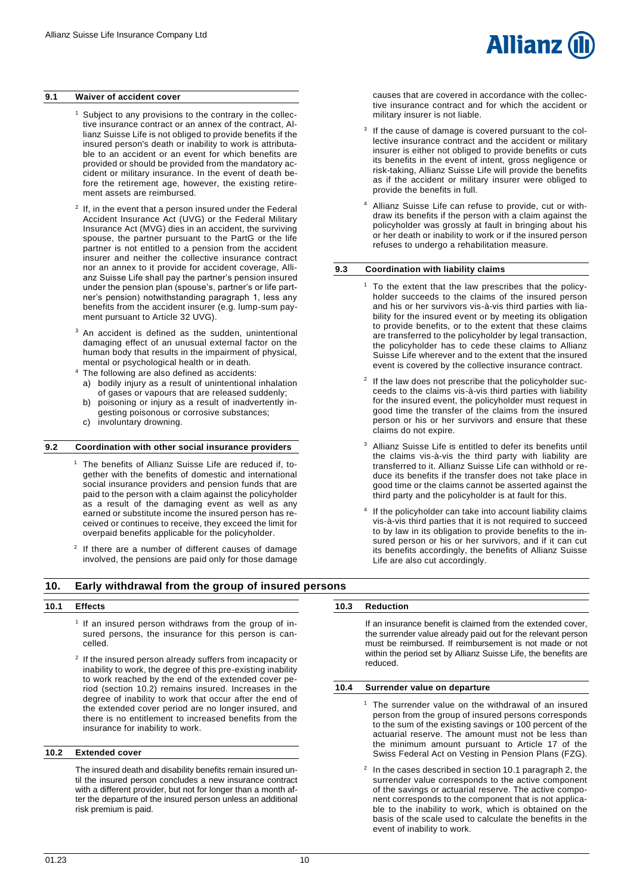#### <span id="page-9-0"></span>**9.1 Waiver of accident cover**

- <sup>1</sup> Subject to any provisions to the contrary in the collective insurance contract or an annex of the contract, Allianz Suisse Life is not obliged to provide benefits if the insured person's death or inability to work is attributable to an accident or an event for which benefits are provided or should be provided from the mandatory accident or military insurance. In the event of death before the retirement age, however, the existing retirement assets are reimbursed.
- 2 If, in the event that a person insured under the Federal Accident Insurance Act (UVG) or the Federal Military Insurance Act (MVG) dies in an accident, the surviving spouse, the partner pursuant to the PartG or the life partner is not entitled to a pension from the accident insurer and neither the collective insurance contract nor an annex to it provide for accident coverage, Allianz Suisse Life shall pay the partner's pension insured under the pension plan (spouse's, partner's or life partner's pension) notwithstanding paragraph 1, less any benefits from the accident insurer (e.g. lump-sum payment pursuant to Article 32 UVG).
- <sup>3</sup> An accident is defined as the sudden, unintentional damaging effect of an unusual external factor on the human body that results in the impairment of physical, mental or psychological health or in death.
- <sup>4</sup> The following are also defined as accidents: a) bodily injury as a result of unintentional inhalation
- of gases or vapours that are released suddenly; b) poisoning or injury as a result of inadvertently ingesting poisonous or corrosive substances;
- c) involuntary drowning.

## <span id="page-9-1"></span>**9.2 Coordination with other social insurance providers**

- <sup>1</sup> The benefits of Allianz Suisse Life are reduced if, together with the benefits of domestic and international social insurance providers and pension funds that are paid to the person with a claim against the policyholder as a result of the damaging event as well as any earned or substitute income the insured person has received or continues to receive, they exceed the limit for overpaid benefits applicable for the policyholder.
- 2 If there are a number of different causes of damage involved, the pensions are paid only for those damage

<span id="page-9-3"></span>**10. Early withdrawal from the group of insured persons**

#### <span id="page-9-4"></span>**10.1 Effects**

- <sup>1</sup> If an insured person withdraws from the group of insured persons, the insurance for this person is cancelled.
- <sup>2</sup> If the insured person already suffers from incapacity or inability to work, the degree of this pre-existing inability to work reached by the end of the extended cover period (section 10.2) remains insured. Increases in the degree of inability to work that occur after the end of the extended cover period are no longer insured, and there is no entitlement to increased benefits from the insurance for inability to work.

#### <span id="page-9-5"></span>**10.2 Extended cover**

The insured death and disability benefits remain insured until the insured person concludes a new insurance contract with a different provider, but not for longer than a month after the departure of the insured person unless an additional risk premium is paid.

causes that are covered in accordance with the collective insurance contract and for which the accident or military insurer is not liable.

Allianz

- 3 If the cause of damage is covered pursuant to the collective insurance contract and the accident or military insurer is either not obliged to provide benefits or cuts its benefits in the event of intent, gross negligence or risk-taking, Allianz Suisse Life will provide the benefits as if the accident or military insurer were obliged to provide the benefits in full.
- Allianz Suisse Life can refuse to provide, cut or withdraw its benefits if the person with a claim against the policyholder was grossly at fault in bringing about his or her death or inability to work or if the insured person refuses to undergo a rehabilitation measure.

#### <span id="page-9-2"></span>**9.3 Coordination with liability claims**

- To the extent that the law prescribes that the policyholder succeeds to the claims of the insured person and his or her survivors vis-à-vis third parties with liability for the insured event or by meeting its obligation to provide benefits, or to the extent that these claims are transferred to the policyholder by legal transaction, the policyholder has to cede these claims to Allianz Suisse Life wherever and to the extent that the insured event is covered by the collective insurance contract.
- $2$  If the law does not prescribe that the policyholder succeeds to the claims vis-à-vis third parties with liability for the insured event, the policyholder must request in good time the transfer of the claims from the insured person or his or her survivors and ensure that these claims do not expire.
- Allianz Suisse Life is entitled to defer its benefits until the claims vis-à-vis the third party with liability are transferred to it. Allianz Suisse Life can withhold or reduce its benefits if the transfer does not take place in good time or the claims cannot be asserted against the third party and the policyholder is at fault for this.
- 4 If the policyholder can take into account liability claims vis-à-vis third parties that it is not required to succeed to by law in its obligation to provide benefits to the insured person or his or her survivors, and if it can cut its benefits accordingly, the benefits of Allianz Suisse Life are also cut accordingly.

<span id="page-9-6"></span>**10.3 Reduction**

If an insurance benefit is claimed from the extended cover, the surrender value already paid out for the relevant person must be reimbursed. If reimbursement is not made or not within the period set by Allianz Suisse Life, the benefits are reduced.

#### <span id="page-9-7"></span>**10.4 Surrender value on departure**

- The surrender value on the withdrawal of an insured person from the group of insured persons corresponds to the sum of the existing savings or 100 percent of the actuarial reserve. The amount must not be less than the minimum amount pursuant to Article 17 of the Swiss Federal Act on Vesting in Pension Plans (FZG).
- 2 In the cases described in section 10.1 paragraph 2, the surrender value corresponds to the active component of the savings or actuarial reserve. The active component corresponds to the component that is not applicable to the inability to work, which is obtained on the basis of the scale used to calculate the benefits in the event of inability to work.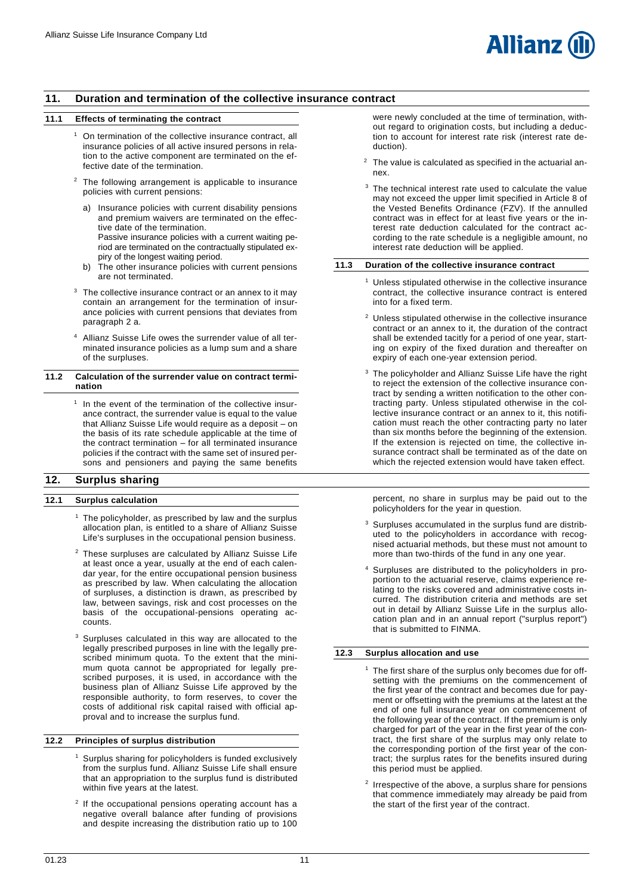## <span id="page-10-0"></span>**11. Duration and termination of the collective insurance contract**

#### <span id="page-10-1"></span>**11.1 Effects of terminating the contract**

- <sup>1</sup> On termination of the collective insurance contract, all insurance policies of all active insured persons in relation to the active component are terminated on the effective date of the termination.
- <sup>2</sup> The following arrangement is applicable to insurance policies with current pensions:
	- Insurance policies with current disability pensions and premium waivers are terminated on the effective date of the termination. Passive insurance policies with a current waiting period are terminated on the contractually stipulated expiry of the longest waiting period.
	- b) The other insurance policies with current pensions are not terminated.
- $3$  The collective insurance contract or an annex to it may contain an arrangement for the termination of insurance policies with current pensions that deviates from paragraph 2 a.
- <sup>4</sup> Allianz Suisse Life owes the surrender value of all terminated insurance policies as a lump sum and a share of the surpluses.

#### <span id="page-10-2"></span>**11.2 Calculation of the surrender value on contract termination**

<sup>1</sup> In the event of the termination of the collective insurance contract, the surrender value is equal to the value that Allianz Suisse Life would require as a deposit – on the basis of its rate schedule applicable at the time of the contract termination – for all terminated insurance policies if the contract with the same set of insured persons and pensioners and paying the same benefits

## <span id="page-10-4"></span>**12. Surplus sharing**

## <span id="page-10-5"></span>**12.1 Surplus calculation**

- $1$  The policyholder, as prescribed by law and the surplus allocation plan, is entitled to a share of Allianz Suisse Life's surpluses in the occupational pension business.
- <sup>2</sup> These surpluses are calculated by Allianz Suisse Life at least once a year, usually at the end of each calendar year, for the entire occupational pension business as prescribed by law. When calculating the allocation of surpluses, a distinction is drawn, as prescribed by law, between savings, risk and cost processes on the basis of the occupational-pensions operating accounts.
- Surpluses calculated in this way are allocated to the legally prescribed purposes in line with the legally prescribed minimum quota. To the extent that the minimum quota cannot be appropriated for legally prescribed purposes, it is used, in accordance with the business plan of Allianz Suisse Life approved by the responsible authority, to form reserves, to cover the costs of additional risk capital raised with official approval and to increase the surplus fund.

#### <span id="page-10-6"></span>**12.2 Principles of surplus distribution**

- <sup>1</sup> Surplus sharing for policyholders is funded exclusively from the surplus fund. Allianz Suisse Life shall ensure that an appropriation to the surplus fund is distributed within five years at the latest.
- <sup>2</sup> If the occupational pensions operating account has a negative overall balance after funding of provisions and despite increasing the distribution ratio up to 100

were newly concluded at the time of termination, without regard to origination costs, but including a deduction to account for interest rate risk (interest rate deduction).

- $2$  The value is calculated as specified in the actuarial annex.
- <sup>3</sup> The technical interest rate used to calculate the value may not exceed the upper limit specified in Article 8 of the Vested Benefits Ordinance (FZV). If the annulled contract was in effect for at least five years or the interest rate deduction calculated for the contract according to the rate schedule is a negligible amount, no interest rate deduction will be applied.

#### <span id="page-10-3"></span>**11.3 Duration of the collective insurance contract**

- <sup>1</sup> Unless stipulated otherwise in the collective insurance contract, the collective insurance contract is entered into for a fixed term.
- <sup>2</sup> Unless stipulated otherwise in the collective insurance contract or an annex to it, the duration of the contract shall be extended tacitly for a period of one year, starting on expiry of the fixed duration and thereafter on expiry of each one-year extension period.
- <sup>3</sup> The policyholder and Allianz Suisse Life have the right to reject the extension of the collective insurance contract by sending a written notification to the other contracting party. Unless stipulated otherwise in the collective insurance contract or an annex to it, this notification must reach the other contracting party no later than six months before the beginning of the extension. If the extension is rejected on time, the collective insurance contract shall be terminated as of the date on which the rejected extension would have taken effect.

percent, no share in surplus may be paid out to the policyholders for the year in question.

- Surpluses accumulated in the surplus fund are distributed to the policyholders in accordance with recognised actuarial methods, but these must not amount to more than two-thirds of the fund in any one year.
- <sup>4</sup> Surpluses are distributed to the policyholders in proportion to the actuarial reserve, claims experience relating to the risks covered and administrative costs incurred. The distribution criteria and methods are set out in detail by Allianz Suisse Life in the surplus allocation plan and in an annual report ("surplus report") that is submitted to FINMA.

## <span id="page-10-7"></span>**12.3 Surplus allocation and use**

- <sup>1</sup> The first share of the surplus only becomes due for offsetting with the premiums on the commencement of the first year of the contract and becomes due for payment or offsetting with the premiums at the latest at the end of one full insurance year on commencement of the following year of the contract. If the premium is only charged for part of the year in the first year of the contract, the first share of the surplus may only relate to the corresponding portion of the first year of the contract; the surplus rates for the benefits insured during this period must be applied.
	- <sup>2</sup> Irrespective of the above, a surplus share for pensions that commence immediately may already be paid from the start of the first year of the contract.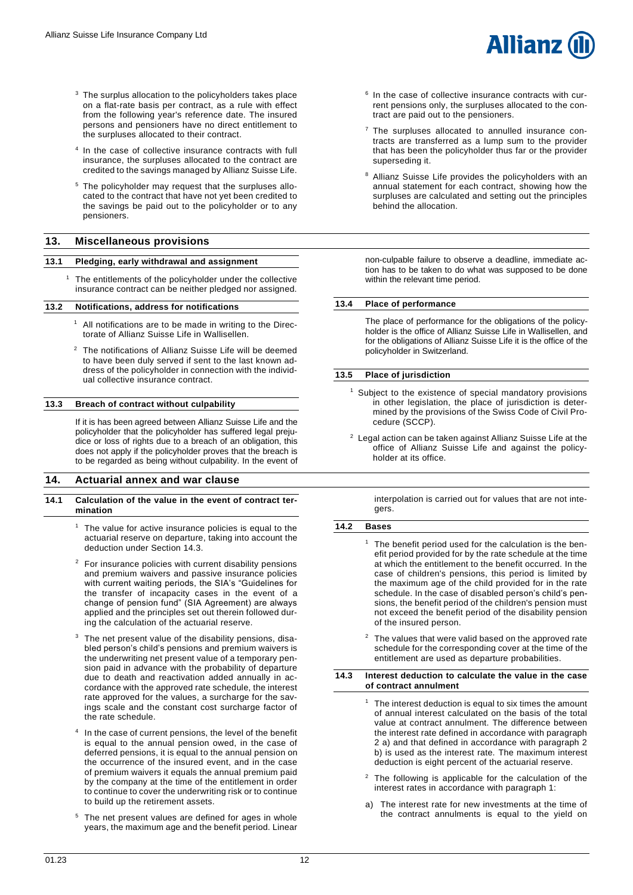- <sup>3</sup> The surplus allocation to the policyholders takes place on a flat-rate basis per contract, as a rule with effect from the following year's reference date. The insured persons and pensioners have no direct entitlement to the surpluses allocated to their contract.
- 4 In the case of collective insurance contracts with full insurance, the surpluses allocated to the contract are credited to the savings managed by Allianz Suisse Life.
- <sup>5</sup> The policyholder may request that the surpluses allocated to the contract that have not yet been credited to the savings be paid out to the policyholder or to any pensioners.

## <span id="page-11-0"></span>**13. Miscellaneous provisions**

#### <span id="page-11-1"></span>**13.1 Pledging, early withdrawal and assignment**

<sup>1</sup> The entitlements of the policyholder under the collective insurance contract can be neither pledged nor assigned.

#### <span id="page-11-2"></span>**13.2 Notifications, address for notifications**

- $1$  All notifications are to be made in writing to the Directorate of Allianz Suisse Life in Wallisellen.
- <sup>2</sup> The notifications of Allianz Suisse Life will be deemed to have been duly served if sent to the last known address of the policyholder in connection with the individual collective insurance contract.

#### <span id="page-11-3"></span>**13.3 Breach of contract without culpability**

If it is has been agreed between Allianz Suisse Life and the policyholder that the policyholder has suffered legal prejudice or loss of rights due to a breach of an obligation, this does not apply if the policyholder proves that the breach is to be regarded as being without culpability. In the event of

## <span id="page-11-6"></span>**14. Actuarial annex and war clause**

#### <span id="page-11-7"></span>**14.1 Calculation of the value in the event of contract termination**

- $1$  The value for active insurance policies is equal to the actuarial reserve on departure, taking into account the deduction under Section 14.3.
- $2$  For insurance policies with current disability pensions and premium waivers and passive insurance policies with current waiting periods, the SIA's "Guidelines for the transfer of incapacity cases in the event of a change of pension fund" (SIA Agreement) are always applied and the principles set out therein followed during the calculation of the actuarial reserve.
- The net present value of the disability pensions, disabled person's child's pensions and premium waivers is the underwriting net present value of a temporary pension paid in advance with the probability of departure due to death and reactivation added annually in accordance with the approved rate schedule, the interest rate approved for the values, a surcharge for the savings scale and the constant cost surcharge factor of the rate schedule.
- 4 In the case of current pensions, the level of the benefit is equal to the annual pension owed, in the case of deferred pensions, it is equal to the annual pension on the occurrence of the insured event, and in the case of premium waivers it equals the annual premium paid by the company at the time of the entitlement in order to continue to cover the underwriting risk or to continue to build up the retirement assets.
- <sup>5</sup> The net present values are defined for ages in whole years, the maximum age and the benefit period. Linear



- <sup>6</sup> In the case of collective insurance contracts with current pensions only, the surpluses allocated to the contract are paid out to the pensioners.
- <sup>7</sup> The surpluses allocated to annulled insurance contracts are transferred as a lump sum to the provider that has been the policyholder thus far or the provider superseding it.
- <sup>8</sup> Allianz Suisse Life provides the policyholders with an annual statement for each contract, showing how the surpluses are calculated and setting out the principles behind the allocation.

non-culpable failure to observe a deadline, immediate action has to be taken to do what was supposed to be done within the relevant time period.

#### <span id="page-11-4"></span>**13.4 Place of performance**

The place of performance for the obligations of the policyholder is the office of Allianz Suisse Life in Wallisellen, and for the obligations of Allianz Suisse Life it is the office of the policyholder in Switzerland.

#### <span id="page-11-5"></span>**13.5 Place of jurisdiction**

- <sup>1</sup> Subject to the existence of special mandatory provisions in other legislation, the place of jurisdiction is determined by the provisions of the Swiss Code of Civil Procedure (SCCP).
- <sup>2</sup> Legal action can be taken against Allianz Suisse Life at the office of Allianz Suisse Life and against the policyholder at its office.

interpolation is carried out for values that are not integers.

#### <span id="page-11-8"></span>**14.2 Bases**

- The benefit period used for the calculation is the benefit period provided for by the rate schedule at the time at which the entitlement to the benefit occurred. In the case of children's pensions, this period is limited by the maximum age of the child provided for in the rate schedule. In the case of disabled person's child's pensions, the benefit period of the children's pension must not exceed the benefit period of the disability pension of the insured person.
- The values that were valid based on the approved rate schedule for the corresponding cover at the time of the entitlement are used as departure probabilities.
- <span id="page-11-9"></span>**14.3 Interest deduction to calculate the value in the case of contract annulment**
	- The interest deduction is equal to six times the amount of annual interest calculated on the basis of the total value at contract annulment. The difference between the interest rate defined in accordance with paragraph 2 a) and that defined in accordance with paragraph 2 b) is used as the interest rate. The maximum interest deduction is eight percent of the actuarial reserve.
	- $2$  The following is applicable for the calculation of the interest rates in accordance with paragraph 1:
	- a) The interest rate for new investments at the time of the contract annulments is equal to the yield on